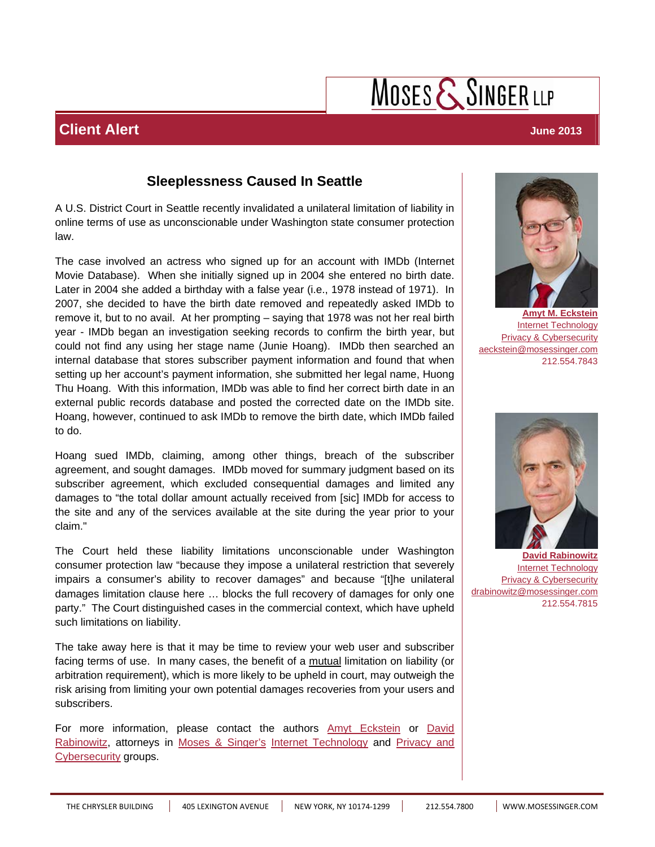## MOSES  $\mathsf{\mathcal{S}}$  SINGER LLP

### **Sleeplessness Caused In Seattle**

A U.S. District Court in Seattle recently invalidated a unilateral limitation of liability in online terms of use as unconscionable under Washington state consumer protection law.

The case involved an actress who signed up for an account with IMDb (Internet Movie Database). When she initially signed up in 2004 she entered no birth date. Later in 2004 she added a birthday with a false year (i.e., 1978 instead of 1971). In 2007, she decided to have the birth date removed and repeatedly asked IMDb to remove it, but to no avail. At her prompting – saying that 1978 was not her real birth year - IMDb began an investigation seeking records to confirm the birth year, but could not find any using her stage name (Junie Hoang). IMDb then searched an internal database that stores subscriber payment information and found that when setting up her account's payment information, she submitted her legal name, Huong Thu Hoang. With this information, IMDb was able to find her correct birth date in an external public records database and posted the corrected date on the IMDb site. Hoang, however, continued to ask IMDb to remove the birth date, which IMDb failed to do.

Hoang sued IMDb, claiming, among other things, breach of the subscriber agreement, and sought damages. IMDb moved for summary judgment based on its subscriber agreement, which excluded consequential damages and limited any damages to "the total dollar amount actually received from [sic] IMDb for access to the site and any of the services available at the site during the year prior to your claim."

The Court held these liability limitations unconscionable under Washington consumer protection law "because they impose a unilateral restriction that severely impairs a consumer's ability to recover damages" and because "[t]he unilateral damages limitation clause here … blocks the full recovery of damages for only one party." The Court distinguished cases in the commercial context, which have upheld such limitations on liability.

The take away here is that it may be time to review your web user and subscriber facing terms of use. In many cases, the benefit of a mutual limitation on liability (or arbitration requirement), which is more likely to be upheld in court, may outweigh the risk arising from limiting your own potential damages recoveries from your users and subscribers.

[For more information, please contact the authors A](http://www.mosessinger.com/attorneys/david-rabinowitz)[myt Eckstein](http://www.mosessinger.com/attorneys/amyt-m-eckstein) or David [Rabinowitz, attorneys in M](http://www.mosessinger.com/practice-industries/25-privacy-cybersecurity)[oses & Singer's](http://www.mosessinger.com/) [I](http://www.mosessinger.com/practice-industries/25-privacy-cybersecurity)[nternet Technolog](http://www.mosessinger.com/practice-industries/20-internet-technology)[y and Privacy and](http://www.mosessinger.com/practice-industries/25-privacy-cybersecurity)  Cybersecurity groups.



**[Amyt M. Eckstein](http://www.mosessinger.com/attorneys/amyt-m-eckstein)** [Internet Technology](http://www.mosessinger.com/practice-industries/20-internet-technology) **[Privacy & Cybersecurity](http://www.mosessinger.com/practice-industries/25-privacy-cybersecurity)** aeckstein@mosessinger.com 212.554.7843



**David Rabinowitz** [Internet Technology](http://www.mosessinger.com/practice-industries/20-internet-technology) [Privacy & Cybersecurity](http://www.mosessinger.com/practice-industries/25-privacy-cybersecurity) drabinowitz@mosessinger.com 212.554.7815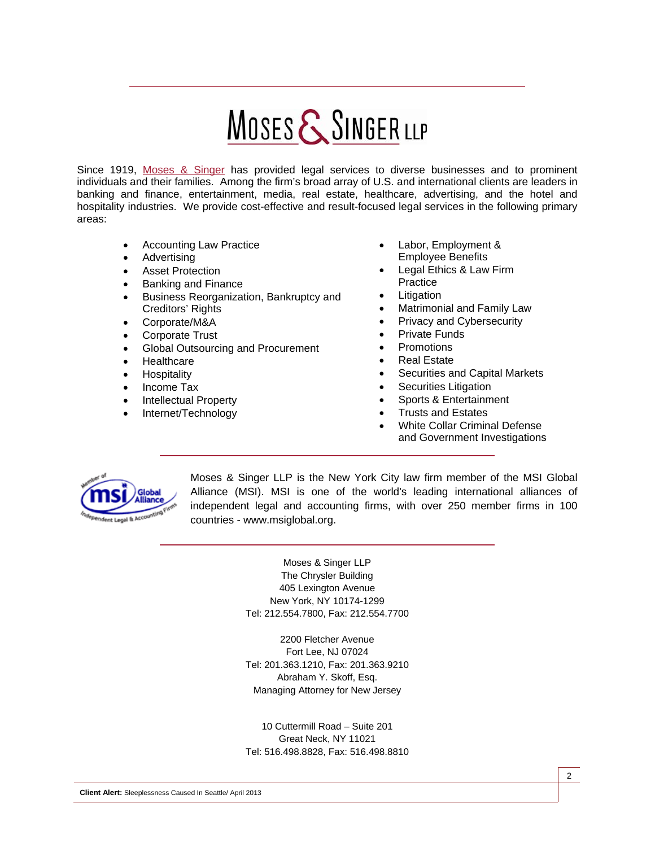# **MOSES & SINGER LLP**

Since 1919, Moses & Singer has provided legal services to diverse businesses and to prominent individuals and their families. Among the firm's broad array of U.S. and international clients are leaders in banking and finance, entertainment, media, real estate, healthcare, advertising, and the hotel and hospitality industries. We provide cost-effective and result-focused legal services in the following primary areas:

- Accounting Law Practice
- Advertising
- **Asset Protection**
- Banking and Finance
- Business Reorganization, Bankruptcy and Creditors' Rights
- Corporate/M&A
- Corporate Trust
- Global Outsourcing and Procurement
- **Healthcare**
- **Hospitality**
- Income Tax
- Intellectual Property
- Internet/Technology
- Labor, Employment & Employee Benefits
- Legal Ethics & Law Firm **Practice**
- **Litigation**
- Matrimonial and Family Law
- Privacy and Cybersecurity
- Private Funds
- Promotions
- **Real Estate**
- Securities and Capital Markets
- Securities Litigation
- Sports & Entertainment
- Trusts and Estates
- White Collar Criminal Defense and Government Investigations



Moses & Singer LLP is the New York City law firm member of the MSI Global Alliance (MSI). MSI is one of the world's leading international alliances of independent legal and accounting firms, with over 250 member firms in 100 countries - www.msiglobal.org.

> Moses & Singer LLP The Chrysler Building 405 Lexington Avenue New York, NY 10174-1299 Tel: 212.554.7800, Fax: 212.554.7700

> 2200 Fletcher Avenue Fort Lee, NJ 07024 Tel: 201.363.1210, Fax: 201.363.9210 Abraham Y. Skoff, Esq. Managing Attorney for New Jersey

> 10 Cuttermill Road – Suite 201 Great Neck, NY 11021 Tel: 516.498.8828, Fax: 516.498.8810